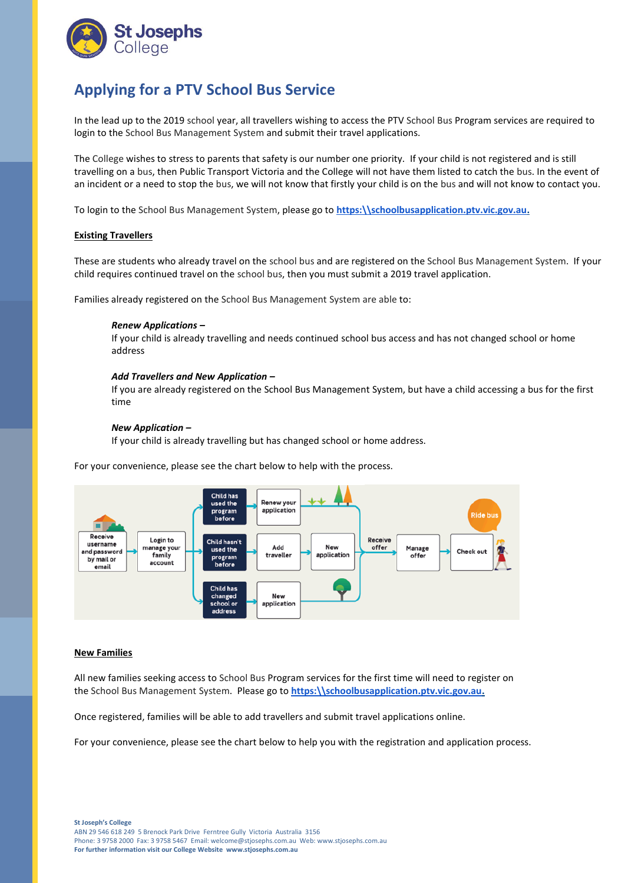

# **Applying for a PTV School Bus Service**

In the lead up to the 2019 school year, all travellers wishing to access the PTV School Bus Program services are required to login to the School Bus Management System and submit their travel applications.

The College wishes to stress to parents that safety is our number one priority. If your child is not registered and is still travelling on a bus, then Public Transport Victoria and the College will not have them listed to catch the bus. In the event of an incident or a need to stop the bus, we will not know that firstly your child is on the bus and will not know to contact you.

To login to the School Bus Management System, please go to **[https:\\schoolbusapplication.ptv.vic.gov.au.](https://schoolbusapplication.ptv.vic.gov.au/)**

## **Existing Travellers**

These are students who already travel on the school bus and are registered on the School Bus Management System. If your child requires continued travel on the school bus, then you must submit a 2019 travel application.

Families already registered on the School Bus Management System are able to:

#### *Renew Applications –*

If your child is already travelling and needs continued school bus access and has not changed school or home address

#### *Add Travellers and New Application –*

If you are already registered on the School Bus Management System, but have a child accessing a bus for the first time

#### *New Application –*

If your child is already travelling but has changed school or home address.

For your convenience, please see the chart below to help with the process.



### **New Families**

All new families seeking access to School Bus Program services for the first time will need to register on the School Bus Management System. Please go to **[https:\\schoolbusapplication.ptv.vic.gov.au.](https://schoolbusapplication.ptv.vic.gov.au/)**

Once registered, families will be able to add travellers and submit travel applications online.

For your convenience, please see the chart below to help you with the registration and application process.